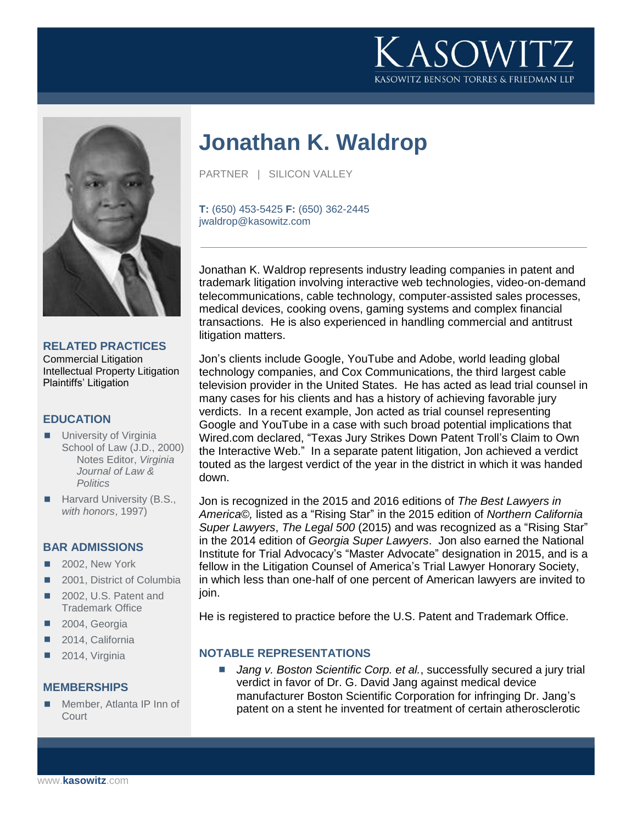



### **RELATED PRACTICES**

Commercial Litigation Intellectual Property Litigation Plaintiffs' Litigation

### **EDUCATION**

- **University of Virginia** School of Law (J.D., 2000) Notes Editor, *Virginia Journal of Law & Politics*
- Harvard University (B.S., *with honors*, 1997)

#### **BAR ADMISSIONS**

- 2002, New York
- 2001, District of Columbia
- 2002, U.S. Patent and Trademark Office
- 2004, Georgia
- 2014, California
- 2014, Virginia

### **MEMBERSHIPS**

 Member, Atlanta IP Inn of **Court** 

# **Jonathan K. Waldrop**

PARTNER | SILICON VALLEY

**T:** (650) 453-5425 **F:** (650) 362-2445 jwaldrop@kasowitz.com

Jonathan K. Waldrop represents industry leading companies in patent and trademark litigation involving interactive web technologies, video-on-demand telecommunications, cable technology, computer-assisted sales processes, medical devices, cooking ovens, gaming systems and complex financial transactions. He is also experienced in handling commercial and antitrust litigation matters.

Jon's clients include Google, YouTube and Adobe, world leading global technology companies, and Cox Communications, the third largest cable television provider in the United States. He has acted as lead trial counsel in many cases for his clients and has a history of achieving favorable jury verdicts. In a recent example, Jon acted as trial counsel representing Google and YouTube in a case with such broad potential implications that Wired.com declared, "Texas Jury Strikes Down Patent Troll's Claim to Own the Interactive Web." In a separate patent litigation, Jon achieved a verdict touted as the largest verdict of the year in the district in which it was handed down.

Jon is recognized in the 2015 and 2016 editions of *The Best Lawyers in America©,* listed as a "Rising Star" in the 2015 edition of *Northern California Super Lawyers*, *The Legal 500* (2015) and was recognized as a "Rising Star" in the 2014 edition of *Georgia Super Lawyers*. Jon also earned the National Institute for Trial Advocacy's "Master Advocate" designation in 2015, and is a fellow in the Litigation Counsel of America's Trial Lawyer Honorary Society, in which less than one-half of one percent of American lawyers are invited to join.

He is registered to practice before the U.S. Patent and Trademark Office.

### **NOTABLE REPRESENTATIONS**

 *Jang v. Boston Scientific Corp. et al.*, successfully secured a jury trial verdict in favor of Dr. G. David Jang against medical device manufacturer Boston Scientific Corporation for infringing Dr. Jang's patent on a stent he invented for treatment of certain atherosclerotic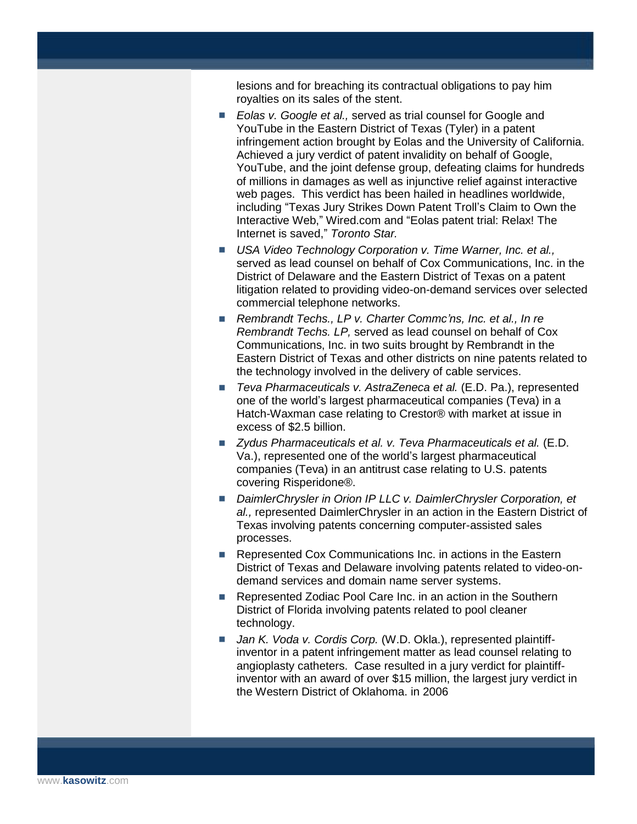lesions and for breaching its contractual obligations to pay him royalties on its sales of the stent.

- *Eolas v. Google et al.*, served as trial counsel for Google and YouTube in the Eastern District of Texas (Tyler) in a patent infringement action brought by Eolas and the University of California. Achieved a jury verdict of patent invalidity on behalf of Google, YouTube, and the joint defense group, defeating claims for hundreds of millions in damages as well as injunctive relief against interactive web pages. This verdict has been hailed in headlines worldwide, including "Texas Jury Strikes Down Patent Troll's Claim to Own the Interactive Web," Wired.com and "Eolas patent trial: Relax! The Internet is saved," *Toronto Star.*
- **USA Video Technology Corporation v. Time Warner, Inc. et al.,** served as lead counsel on behalf of Cox Communications, Inc. in the District of Delaware and the Eastern District of Texas on a patent litigation related to providing video-on-demand services over selected commercial telephone networks.
- *Rembrandt Techs., LP v. Charter Commc'ns, Inc. et al., In re Rembrandt Techs. LP,* served as lead counsel on behalf of Cox Communications, Inc. in two suits brought by Rembrandt in the Eastern District of Texas and other districts on nine patents related to the technology involved in the delivery of cable services.
- *Teva Pharmaceuticals v. AstraZeneca et al.* (E.D. Pa.), represented one of the world's largest pharmaceutical companies (Teva) in a Hatch-Waxman case relating to Crestor® with market at issue in excess of \$2.5 billion.
- *Zydus Pharmaceuticals et al. v. Teva Pharmaceuticals et al.* (E.D. Va.), represented one of the world's largest pharmaceutical companies (Teva) in an antitrust case relating to U.S. patents covering Risperidone®.
- DaimlerChrysler in Orion IP LLC v. DaimlerChrysler Corporation, et *al.,* represented DaimlerChrysler in an action in the Eastern District of Texas involving patents concerning computer-assisted sales processes.
- Represented Cox Communications Inc. in actions in the Eastern District of Texas and Delaware involving patents related to video-ondemand services and domain name server systems.
- Represented Zodiac Pool Care Inc. in an action in the Southern District of Florida involving patents related to pool cleaner technology.
- *Jan K. Voda v. Cordis Corp.* (W.D. Okla.), represented plaintiffinventor in a patent infringement matter as lead counsel relating to angioplasty catheters. Case resulted in a jury verdict for plaintiffinventor with an award of over \$15 million, the largest jury verdict in the Western District of Oklahoma. in 2006